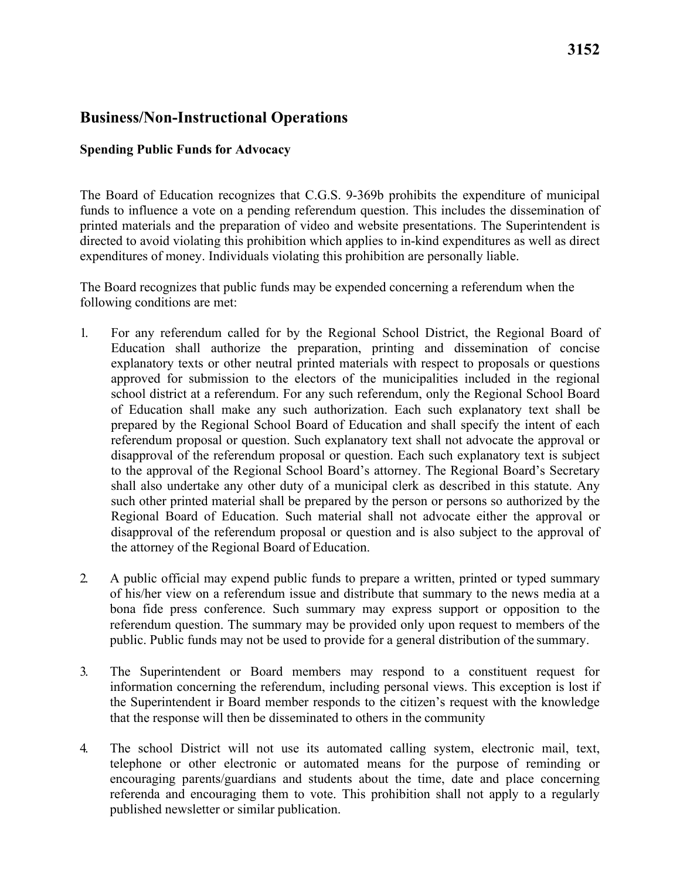## **Business/Non-Instructional Operations**

#### **Spending Public Funds for Advocacy**

The Board of Education recognizes that C.G.S. 9-369b prohibits the expenditure of municipal funds to influence a vote on a pending referendum question. This includes the dissemination of printed materials and the preparation of video and website presentations. The Superintendent is directed to avoid violating this prohibition which applies to in-kind expenditures as well as direct expenditures of money. Individuals violating this prohibition are personally liable.

 following conditions are met: The Board recognizes that public funds may be expended concerning a referendum when the

- the attorney of the Regional Board of Education. 1. For any referendum called for by the Regional School District, the Regional Board of Education shall authorize the preparation, printing and dissemination of concise explanatory texts or other neutral printed materials with respect to proposals or questions approved for submission to the electors of the municipalities included in the regional school district at a referendum. For any such referendum, only the Regional School Board of Education shall make any such authorization. Each such explanatory text shall be prepared by the Regional School Board of Education and shall specify the intent of each referendum proposal or question. Such explanatory text shall not advocate the approval or disapproval of the referendum proposal or question. Each such explanatory text is subject to the approval of the Regional School Board's attorney. The Regional Board's Secretary shall also undertake any other duty of a municipal clerk as described in this statute. Any such other printed material shall be prepared by the person or persons so authorized by the Regional Board of Education. Such material shall not advocate either the approval or disapproval of the referendum proposal or question and is also subject to the approval of
- public. Public funds may not be used to provide for a general distribution of the summary. 2. A public official may expend public funds to prepare a written, printed or typed summary of his/her view on a referendum issue and distribute that summary to the news media at a bona fide press conference. Such summary may express support or opposition to the referendum question. The summary may be provided only upon request to members of the
- that the response will then be disseminated to others in the community 3. The Superintendent or Board members may respond to a constituent request for information concerning the referendum, including personal views. This exception is lost if the Superintendent ir Board member responds to the citizen's request with the knowledge
- encouraging parents/guardians and students about the time, date and place concerning published newsletter or similar publication. 4. The school District will not use its automated calling system, electronic mail, text, telephone or other electronic or automated means for the purpose of reminding or referenda and encouraging them to vote. This prohibition shall not apply to a regularly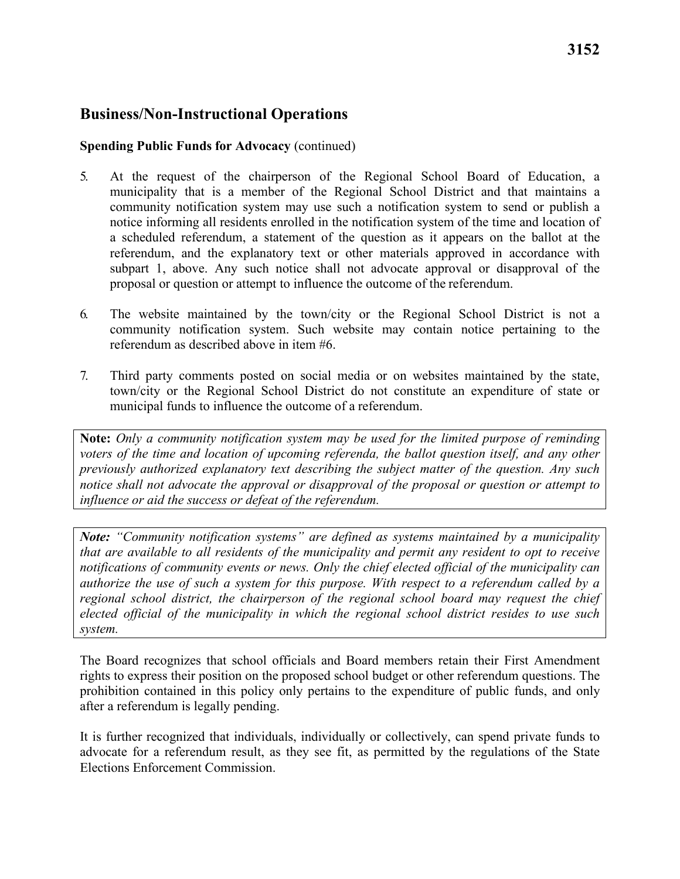## **Business/Non-Instructional Operations**

#### **Spending Public Funds for Advocacy** (continued)

- proposal or question or attempt to influence the outcome of the referendum. 5. At the request of the chairperson of the Regional School Board of Education, a municipality that is a member of the Regional School District and that maintains a community notification system may use such a notification system to send or publish a notice informing all residents enrolled in the notification system of the time and location of a scheduled referendum, a statement of the question as it appears on the ballot at the referendum, and the explanatory text or other materials approved in accordance with subpart 1, above. Any such notice shall not advocate approval or disapproval of the
- 6. The website maintained by the town/city or the Regional School District is not a community notification system. Such website may contain notice pertaining to the referendum as described above in item #6.
- municipal funds to influence the outcome of a referendum. 7. Third party comments posted on social media or on websites maintained by the state, town/city or the Regional School District do not constitute an expenditure of state or

**Note:** *Only a community notification system may be used for the limited purpose of reminding voters of the time and location of upcoming referenda, the ballot question itself, and any other previously authorized explanatory text describing the subject matter of the question. Any such notice shall not advocate the approval or disapproval of the proposal or question or attempt to influence or aid the success or defeat of the referendum.* 

regional school district, the chairperson of the regional school board may request the chief *Note: "Community notification systems" are defined as systems maintained by a municipality that are available to all residents of the municipality and permit any resident to opt to receive notifications of community events or news. Only the chief elected official of the municipality can authorize the use of such a system for this purpose. With respect to a referendum called by a elected official of the municipality in which the regional school district resides to use such system.* 

The Board recognizes that school officials and Board members retain their First Amendment rights to express their position on the proposed school budget or other referendum questions. The prohibition contained in this policy only pertains to the expenditure of public funds, and only after a referendum is legally pending.

It is further recognized that individuals, individually or collectively, can spend private funds to advocate for a referendum result, as they see fit, as permitted by the regulations of the State Elections Enforcement Commission.